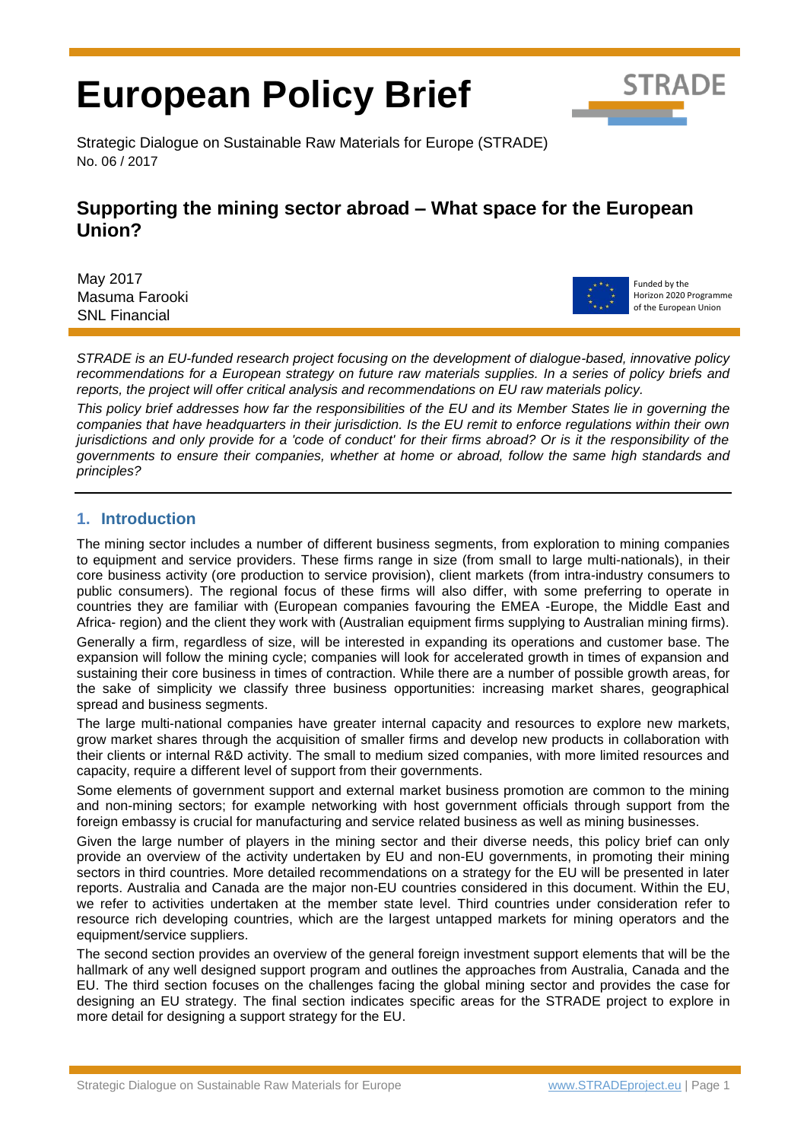# **European Policy Brief**



Strategic Dialogue on Sustainable Raw Materials for Europe (STRADE) No. 06 / 2017

### **Supporting the mining sector abroad – What space for the European Union?**

May 2017 Masuma Farooki SNL Financial



Funded by the Horizon 2020 Programme of the European Union

*STRADE is an EU-funded research project focusing on the development of dialogue-based, innovative policy recommendations for a European strategy on future raw materials supplies. In a series of policy briefs and reports, the project will offer critical analysis and recommendations on EU raw materials policy.* 

*This policy brief addresses how far the responsibilities of the EU and its Member States lie in governing the companies that have headquarters in their jurisdiction. Is the EU remit to enforce regulations within their own jurisdictions and only provide for a 'code of conduct' for their firms abroad? Or is it the responsibility of the governments to ensure their companies, whether at home or abroad, follow the same high standards and principles?*

#### **1. Introduction**

The mining sector includes a number of different business segments, from exploration to mining companies to equipment and service providers. These firms range in size (from small to large multi-nationals), in their core business activity (ore production to service provision), client markets (from intra-industry consumers to public consumers). The regional focus of these firms will also differ, with some preferring to operate in countries they are familiar with (European companies favouring the EMEA -Europe, the Middle East and Africa- region) and the client they work with (Australian equipment firms supplying to Australian mining firms).

Generally a firm, regardless of size, will be interested in expanding its operations and customer base. The expansion will follow the mining cycle; companies will look for accelerated growth in times of expansion and sustaining their core business in times of contraction. While there are a number of possible growth areas, for the sake of simplicity we classify three business opportunities: increasing market shares, geographical spread and business segments.

The large multi-national companies have greater internal capacity and resources to explore new markets, grow market shares through the acquisition of smaller firms and develop new products in collaboration with their clients or internal R&D activity. The small to medium sized companies, with more limited resources and capacity, require a different level of support from their governments.

Some elements of government support and external market business promotion are common to the mining and non-mining sectors; for example networking with host government officials through support from the foreign embassy is crucial for manufacturing and service related business as well as mining businesses.

Given the large number of players in the mining sector and their diverse needs, this policy brief can only provide an overview of the activity undertaken by EU and non-EU governments, in promoting their mining sectors in third countries. More detailed recommendations on a strategy for the EU will be presented in later reports. Australia and Canada are the major non-EU countries considered in this document. Within the EU, we refer to activities undertaken at the member state level. Third countries under consideration refer to resource rich developing countries, which are the largest untapped markets for mining operators and the equipment/service suppliers.

The second section provides an overview of the general foreign investment support elements that will be the hallmark of any well designed support program and outlines the approaches from Australia, Canada and the EU. The third section focuses on the challenges facing the global mining sector and provides the case for designing an EU strategy. The final section indicates specific areas for the STRADE project to explore in more detail for designing a support strategy for the EU.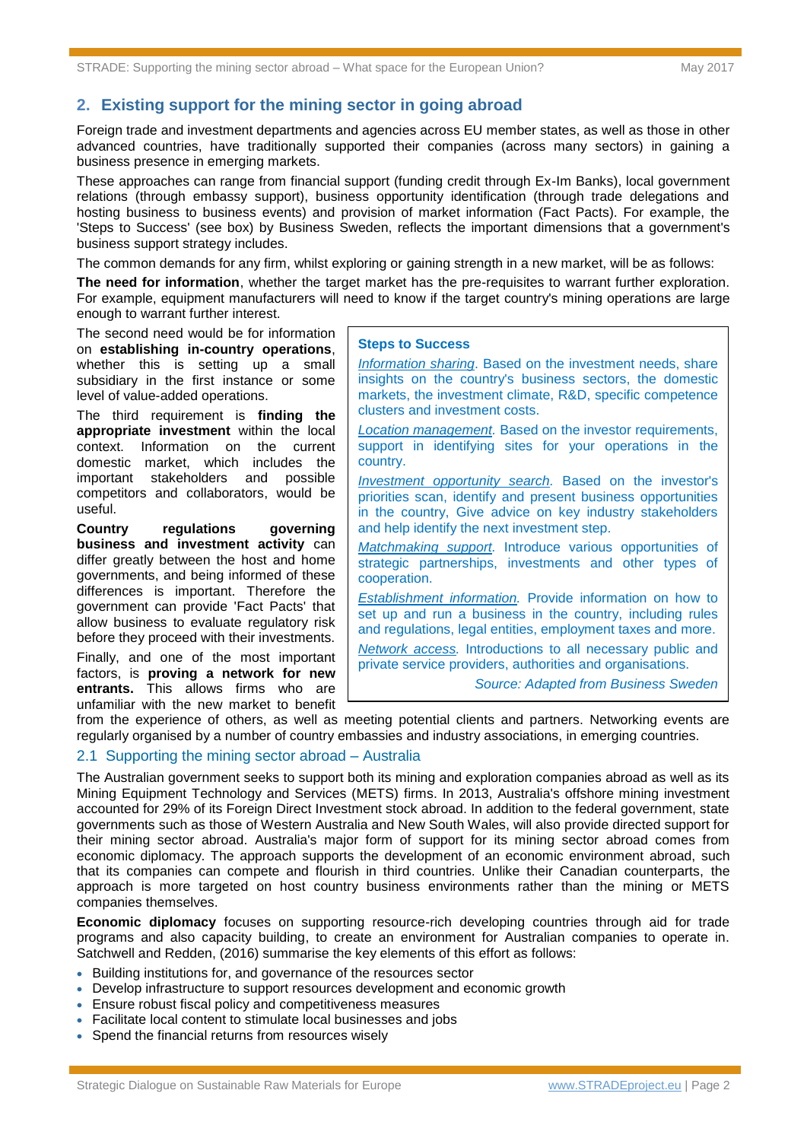#### **2. Existing support for the mining sector in going abroad**

Foreign trade and investment departments and agencies across EU member states, as well as those in other advanced countries, have traditionally supported their companies (across many sectors) in gaining a business presence in emerging markets.

These approaches can range from financial support (funding credit through Ex-Im Banks), local government relations (through embassy support), business opportunity identification (through trade delegations and hosting business to business events) and provision of market information (Fact Pacts). For example, the 'Steps to Success' (see box) by Business Sweden, reflects the important dimensions that a government's business support strategy includes.

The common demands for any firm, whilst exploring or gaining strength in a new market, will be as follows:

**The need for information**, whether the target market has the pre-requisites to warrant further exploration. For example, equipment manufacturers will need to know if the target country's mining operations are large enough to warrant further interest.

The second need would be for information on **establishing in-country operations**, whether this is setting up a small subsidiary in the first instance or some level of value-added operations.

The third requirement is **finding the appropriate investment** within the local context. Information on the current domestic market, which includes the important stakeholders and possible competitors and collaborators, would be useful.

**Country regulations governing business and investment activity** can differ greatly between the host and home governments, and being informed of these differences is important. Therefore the government can provide 'Fact Pacts' that allow business to evaluate regulatory risk before they proceed with their investments. Finally, and one of the most important factors, is **proving a network for new entrants.** This allows firms who are unfamiliar with the new market to benefit

#### **Steps to Success**

*Information sharing*. Based on the investment needs, share insights on the country's business sectors, the domestic markets, the investment climate, R&D, specific competence clusters and investment costs.

*Location management.* Based on the investor requirements, support in identifying sites for your operations in the country.

*Investment opportunity search.* Based on the investor's priorities scan, identify and present business opportunities in the country, Give advice on key industry stakeholders and help identify the next investment step.

*Matchmaking support.* Introduce various opportunities of strategic partnerships, investments and other types of cooperation.

*Establishment information.* Provide information on how to set up and run a business in the country, including rules and regulations, legal entities, employment taxes and more.

*Network access.* Introductions to all necessary public and private service providers, authorities and organisations.

*Source: Adapted from Business Sweden* 

from the experience of others, as well as meeting potential clients and partners. Networking events are regularly organised by a number of country embassies and industry associations, in emerging countries.

#### 2.1 Supporting the mining sector abroad – Australia

The Australian government seeks to support both its mining and exploration companies abroad as well as its Mining Equipment Technology and Services (METS) firms. In 2013, Australia's offshore mining investment accounted for 29% of its Foreign Direct Investment stock abroad. In addition to the federal government, state governments such as those of Western Australia and New South Wales, will also provide directed support for their mining sector abroad. Australia's major form of support for its mining sector abroad comes from economic diplomacy. The approach supports the development of an economic environment abroad, such that its companies can compete and flourish in third countries. Unlike their Canadian counterparts, the approach is more targeted on host country business environments rather than the mining or METS companies themselves.

**Economic diplomacy** focuses on supporting resource-rich developing countries through aid for trade programs and also capacity building, to create an environment for Australian companies to operate in. Satchwell and Redden, (2016) summarise the key elements of this effort as follows:

- Building institutions for, and governance of the resources sector
- Develop infrastructure to support resources development and economic growth
- Ensure robust fiscal policy and competitiveness measures
- Facilitate local content to stimulate local businesses and jobs
- Spend the financial returns from resources wisely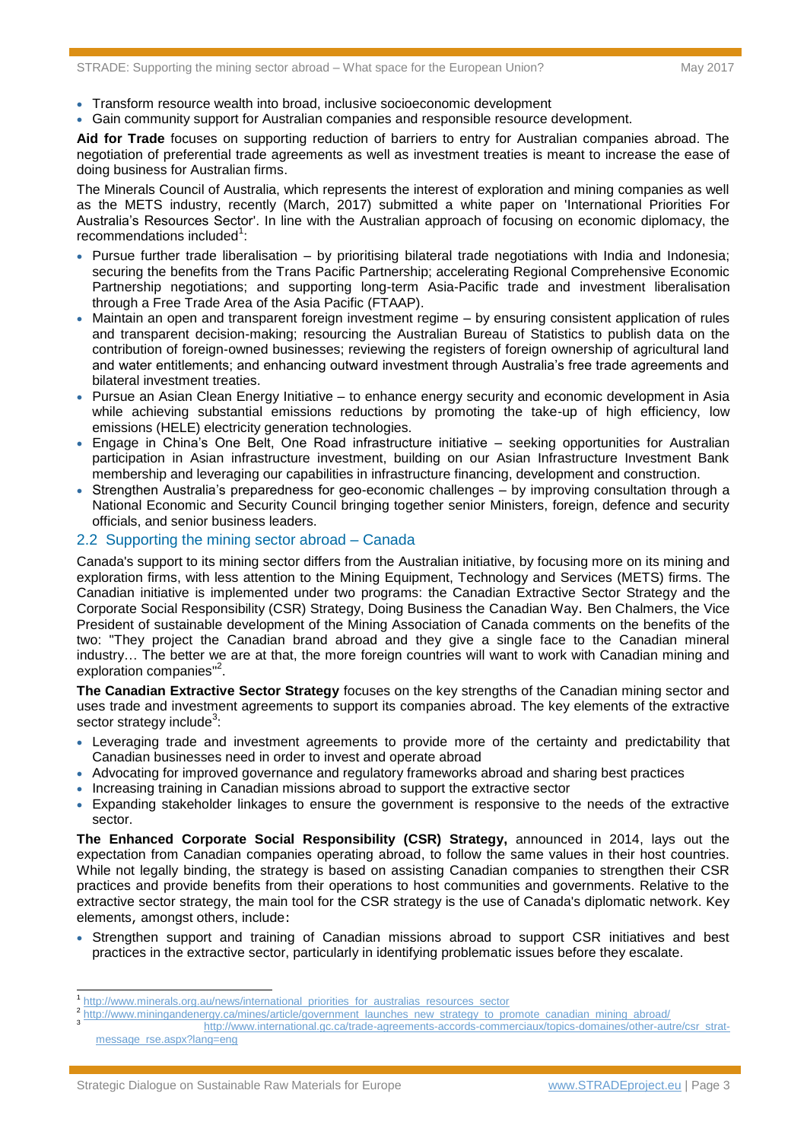- Transform resource wealth into broad, inclusive socioeconomic development
- Gain community support for Australian companies and responsible resource development.

**Aid for Trade** focuses on supporting reduction of barriers to entry for Australian companies abroad. The negotiation of preferential trade agreements as well as investment treaties is meant to increase the ease of doing business for Australian firms.

The Minerals Council of Australia, which represents the interest of exploration and mining companies as well as the METS industry, recently (March, 2017) submitted a white paper on 'International Priorities For Australia's Resources Sector'. In line with the Australian approach of focusing on economic diplomacy, the recommendations included<sup>1</sup>:

- Pursue further trade liberalisation by prioritising bilateral trade negotiations with India and Indonesia; securing the benefits from the Trans Pacific Partnership; accelerating Regional Comprehensive Economic Partnership negotiations; and supporting long-term Asia-Pacific trade and investment liberalisation through a Free Trade Area of the Asia Pacific (FTAAP).
- Maintain an open and transparent foreign investment regime by ensuring consistent application of rules and transparent decision-making; resourcing the Australian Bureau of Statistics to publish data on the contribution of foreign-owned businesses; reviewing the registers of foreign ownership of agricultural land and water entitlements; and enhancing outward investment through Australia's free trade agreements and bilateral investment treaties.
- Pursue an Asian Clean Energy Initiative to enhance energy security and economic development in Asia while achieving substantial emissions reductions by promoting the take-up of high efficiency, low emissions (HELE) electricity generation technologies.
- Engage in China's One Belt, One Road infrastructure initiative seeking opportunities for Australian participation in Asian infrastructure investment, building on our Asian Infrastructure Investment Bank membership and leveraging our capabilities in infrastructure financing, development and construction.
- Strengthen Australia's preparedness for geo-economic challenges by improving consultation through a National Economic and Security Council bringing together senior Ministers, foreign, defence and security officials, and senior business leaders.

#### 2.2 Supporting the mining sector abroad – Canada

Canada's support to its mining sector differs from the Australian initiative, by focusing more on its mining and exploration firms, with less attention to the Mining Equipment, Technology and Services (METS) firms. The Canadian initiative is implemented under two programs: the Canadian Extractive Sector Strategy and the Corporate Social Responsibility (CSR) Strategy, Doing Business the Canadian Way. Ben Chalmers, the Vice President of sustainable development of the Mining Association of Canada comments on the benefits of the two: "They project the Canadian brand abroad and they give a single face to the Canadian mineral industry… The better we are at that, the more foreign countries will want to work with Canadian mining and exploration companies"<sup>2</sup>.

**The Canadian Extractive Sector Strategy** focuses on the key strengths of the Canadian mining sector and uses trade and investment agreements to support its companies abroad. The key elements of the extractive sector strategy include<sup>3</sup>:

- Leveraging trade and investment agreements to provide more of the certainty and predictability that Canadian businesses need in order to invest and operate abroad
- Advocating for improved governance and regulatory frameworks abroad and sharing best practices
- Increasing training in Canadian missions abroad to support the extractive sector
- Expanding stakeholder linkages to ensure the government is responsive to the needs of the extractive sector.

**The Enhanced Corporate Social Responsibility (CSR) Strategy,** announced in 2014, lays out the expectation from Canadian companies operating abroad, to follow the same values in their host countries. While not legally binding, the strategy is based on assisting Canadian companies to strengthen their CSR practices and provide benefits from their operations to host communities and governments. Relative to the extractive sector strategy, the main tool for the CSR strategy is the use of Canada's diplomatic network. Key elements, amongst others, include:

• Strengthen support and training of Canadian missions abroad to support CSR initiatives and best practices in the extractive sector, particularly in identifying problematic issues before they escalate.

-

<sup>1</sup> [http://www.minerals.org.au/news/international\\_priorities\\_for\\_australias\\_resources\\_sector](http://www.minerals.org.au/news/international_priorities_for_australias_resources_sector) 2

[http://www.miningandenergy.ca/mines/article/government\\_launches\\_new\\_strategy\\_to\\_promote\\_canadian\\_mining\\_abroad/](http://www.miningandenergy.ca/mines/article/government_launches_new_strategy_to_promote_canadian_mining_abroad/)

<sup>3</sup> [http://www.international.gc.ca/trade-agreements-accords-commerciaux/topics-domaines/other-autre/csr\\_strat](http://www.international.gc.ca/trade-agreements-accords-commerciaux/topics-domaines/other-autre/csr_strat-message_rse.aspx?lang=eng)[message\\_rse.aspx?lang=eng](http://www.international.gc.ca/trade-agreements-accords-commerciaux/topics-domaines/other-autre/csr_strat-message_rse.aspx?lang=eng)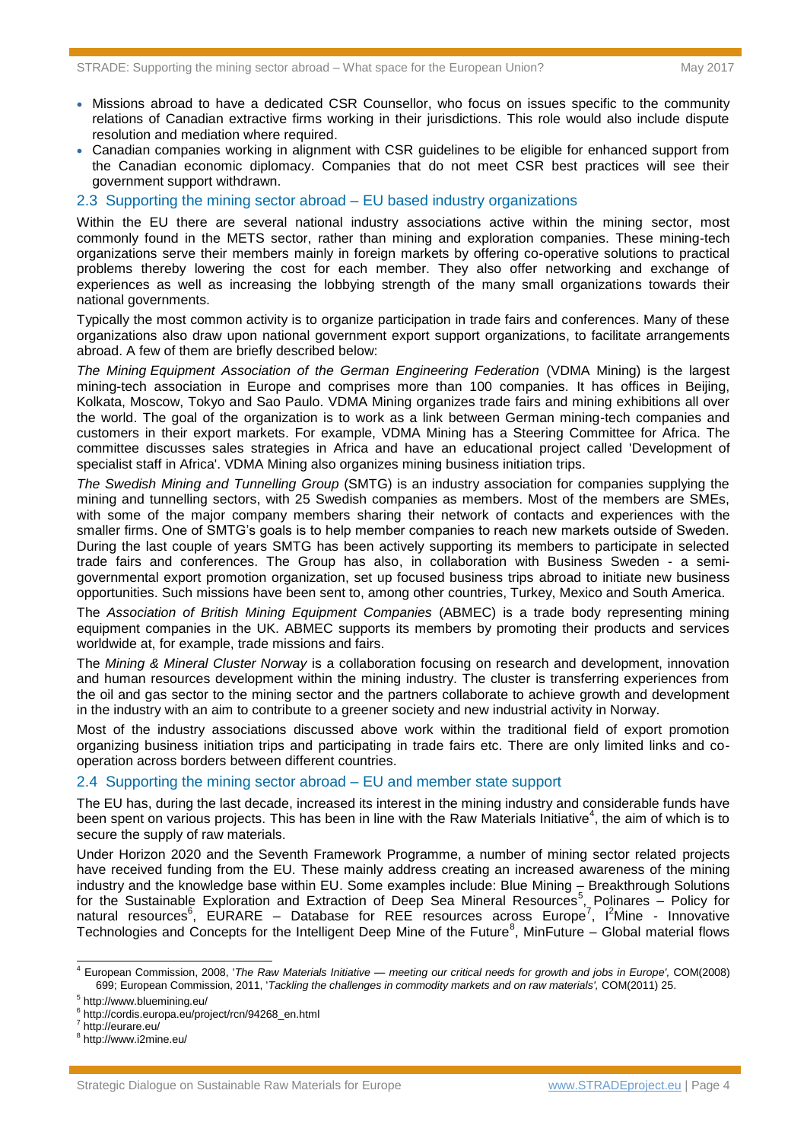- Missions abroad to have a dedicated CSR Counsellor, who focus on issues specific to the community relations of Canadian extractive firms working in their jurisdictions. This role would also include dispute resolution and mediation where required.
- Canadian companies working in alignment with CSR guidelines to be eligible for enhanced support from the Canadian economic diplomacy. Companies that do not meet CSR best practices will see their government support withdrawn.

#### 2.3 Supporting the mining sector abroad – EU based industry organizations

Within the EU there are several national industry associations active within the mining sector, most commonly found in the METS sector, rather than mining and exploration companies. These mining-tech organizations serve their members mainly in foreign markets by offering co-operative solutions to practical problems thereby lowering the cost for each member. They also offer networking and exchange of experiences as well as increasing the lobbying strength of the many small organizations towards their national governments.

Typically the most common activity is to organize participation in trade fairs and conferences. Many of these organizations also draw upon national government export support organizations, to facilitate arrangements abroad. A few of them are briefly described below:

*The Mining Equipment Association of the German Engineering Federation* (VDMA Mining) is the largest mining-tech association in Europe and comprises more than 100 companies. It has offices in Beijing, Kolkata, Moscow, Tokyo and Sao Paulo. VDMA Mining organizes trade fairs and mining exhibitions all over the world. The goal of the organization is to work as a link between German mining-tech companies and customers in their export markets. For example, VDMA Mining has a Steering Committee for Africa. The committee discusses sales strategies in Africa and have an educational project called 'Development of specialist staff in Africa'. VDMA Mining also organizes mining business initiation trips.

*The Swedish Mining and Tunnelling Group* (SMTG) is an industry association for companies supplying the mining and tunnelling sectors, with 25 Swedish companies as members. Most of the members are SMEs, with some of the major company members sharing their network of contacts and experiences with the smaller firms. One of SMTG's goals is to help member companies to reach new markets outside of Sweden. During the last couple of years SMTG has been actively supporting its members to participate in selected trade fairs and conferences. The Group has also, in collaboration with Business Sweden - a semigovernmental export promotion organization, set up focused business trips abroad to initiate new business opportunities. Such missions have been sent to, among other countries, Turkey, Mexico and South America.

The *Association of British Mining Equipment Companies* (ABMEC) is a trade body representing mining equipment companies in the UK. ABMEC supports its members by promoting their products and services worldwide at, for example, trade missions and fairs.

The *Mining & Mineral Cluster Norway* is a collaboration focusing on research and development, innovation and human resources development within the mining industry. The cluster is transferring experiences from the oil and gas sector to the mining sector and the partners collaborate to achieve growth and development in the industry with an aim to contribute to a greener society and new industrial activity in Norway.

Most of the industry associations discussed above work within the traditional field of export promotion organizing business initiation trips and participating in trade fairs etc. There are only limited links and cooperation across borders between different countries.

#### 2.4 Supporting the mining sector abroad – EU and member state support

The EU has, during the last decade, increased its interest in the mining industry and considerable funds have been spent on various projects. This has been in line with the Raw Materials Initiative<sup>4</sup>, the aim of which is to secure the supply of raw materials.

Under Horizon 2020 and the Seventh Framework Programme, a number of mining sector related projects have received funding from the EU. These mainly address creating an increased awareness of the mining industry and the knowledge base within EU. Some examples include: Blue Mining – Breakthrough Solutions for the Sustainable Exploration and Extraction of Deep Sea Mineral Resources<sup>5</sup>, Polinares - Policy for natural resources<sup>6</sup>, EURARE - Database for REE resources across Europe<sup>7</sup>, l<sup>2</sup>Mine - Innovative Technologies and Concepts for the Intelligent Deep Mine of the Future<sup>8</sup>, MinFuture – Global material flows

-

<sup>4</sup> European Commission, 2008, '*The Raw Materials Initiative — meeting our critical needs for growth and jobs in Europe',* COM(2008) 699; European Commission, 2011, '*Tackling the challenges in commodity markets and on raw materials',* COM(2011) 25.

<sup>5</sup> http://www.bluemining.eu/

<sup>&</sup>lt;sup>6</sup> http://cordis.europa.eu/project/rcn/94268\_en.html<br>7 http://ourore.eu/

http://eurare.eu/

<sup>8</sup> http://www.i2mine.eu/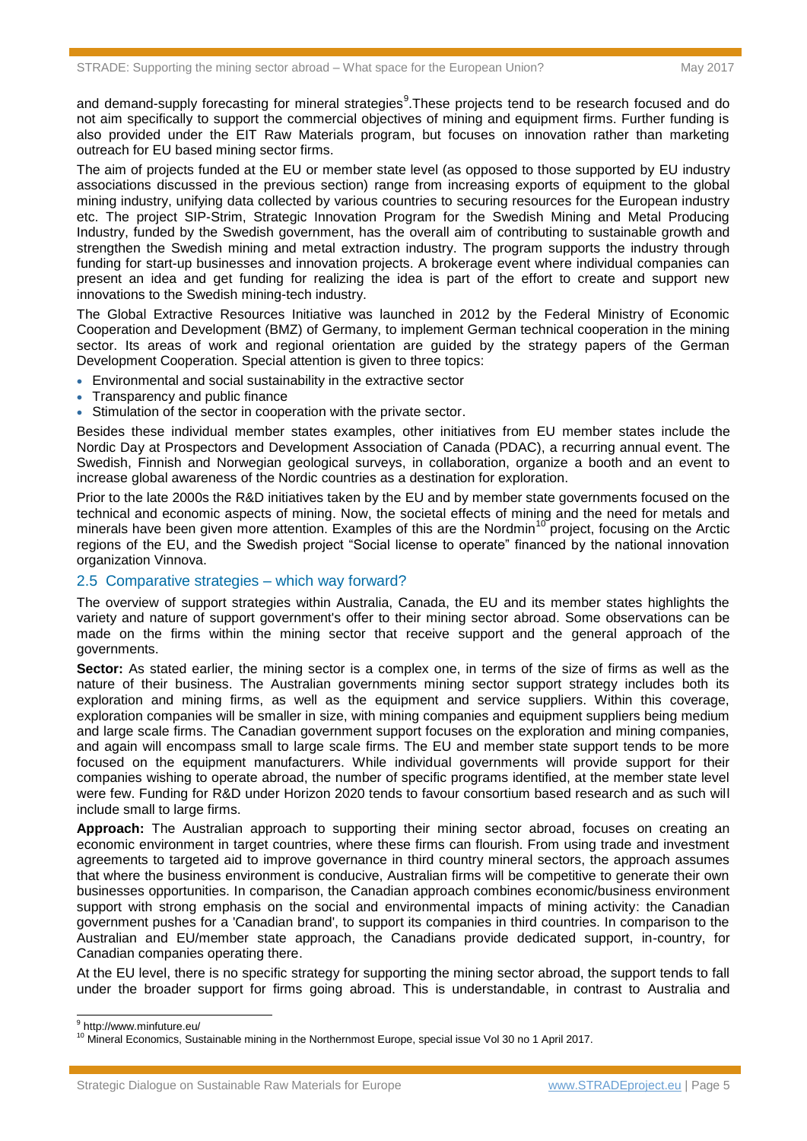and demand-supply forecasting for mineral strategies<sup>9</sup>. These projects tend to be research focused and do not aim specifically to support the commercial objectives of mining and equipment firms. Further funding is also provided under the EIT Raw Materials program, but focuses on innovation rather than marketing outreach for EU based mining sector firms.

The aim of projects funded at the EU or member state level (as opposed to those supported by EU industry associations discussed in the previous section) range from increasing exports of equipment to the global mining industry, unifying data collected by various countries to securing resources for the European industry etc. The project SIP-Strim, Strategic Innovation Program for the Swedish Mining and Metal Producing Industry, funded by the Swedish government, has the overall aim of contributing to sustainable growth and strengthen the Swedish mining and metal extraction industry. The program supports the industry through funding for start-up businesses and innovation projects. A brokerage event where individual companies can present an idea and get funding for realizing the idea is part of the effort to create and support new innovations to the Swedish mining-tech industry.

The Global Extractive Resources Initiative was launched in 2012 by the Federal Ministry of Economic Cooperation and Development (BMZ) of Germany, to implement German technical cooperation in the mining sector. Its areas of work and regional orientation are guided by the strategy papers of the German Development Cooperation. Special attention is given to three topics:

- Environmental and social sustainability in the extractive sector
- Transparency and public finance
- Stimulation of the sector in cooperation with the private sector.

Besides these individual member states examples, other initiatives from EU member states include the Nordic Day at Prospectors and Development Association of Canada (PDAC), a recurring annual event. The Swedish, Finnish and Norwegian geological surveys, in collaboration, organize a booth and an event to increase global awareness of the Nordic countries as a destination for exploration.

Prior to the late 2000s the R&D initiatives taken by the EU and by member state governments focused on the technical and economic aspects of mining. Now, the societal effects of mining and the need for metals and minerals have been given more attention. Examples of this are the Nordmin<sup>10</sup> project, focusing on the Arctic regions of the EU, and the Swedish project "Social license to operate" financed by the national innovation organization Vinnova.

#### 2.5 Comparative strategies – which way forward?

The overview of support strategies within Australia, Canada, the EU and its member states highlights the variety and nature of support government's offer to their mining sector abroad. Some observations can be made on the firms within the mining sector that receive support and the general approach of the governments.

**Sector:** As stated earlier, the mining sector is a complex one, in terms of the size of firms as well as the nature of their business. The Australian governments mining sector support strategy includes both its exploration and mining firms, as well as the equipment and service suppliers. Within this coverage, exploration companies will be smaller in size, with mining companies and equipment suppliers being medium and large scale firms. The Canadian government support focuses on the exploration and mining companies, and again will encompass small to large scale firms. The EU and member state support tends to be more focused on the equipment manufacturers. While individual governments will provide support for their companies wishing to operate abroad, the number of specific programs identified, at the member state level were few. Funding for R&D under Horizon 2020 tends to favour consortium based research and as such will include small to large firms.

**Approach:** The Australian approach to supporting their mining sector abroad, focuses on creating an economic environment in target countries, where these firms can flourish. From using trade and investment agreements to targeted aid to improve governance in third country mineral sectors, the approach assumes that where the business environment is conducive, Australian firms will be competitive to generate their own businesses opportunities. In comparison, the Canadian approach combines economic/business environment support with strong emphasis on the social and environmental impacts of mining activity: the Canadian government pushes for a 'Canadian brand', to support its companies in third countries. In comparison to the Australian and EU/member state approach, the Canadians provide dedicated support, in-country, for Canadian companies operating there.

At the EU level, there is no specific strategy for supporting the mining sector abroad, the support tends to fall under the broader support for firms going abroad. This is understandable, in contrast to Australia and

 9 http://www.minfuture.eu/

<sup>&</sup>lt;sup>10</sup> Mineral Economics, Sustainable mining in the Northernmost Europe, special issue Vol 30 no 1 April 2017.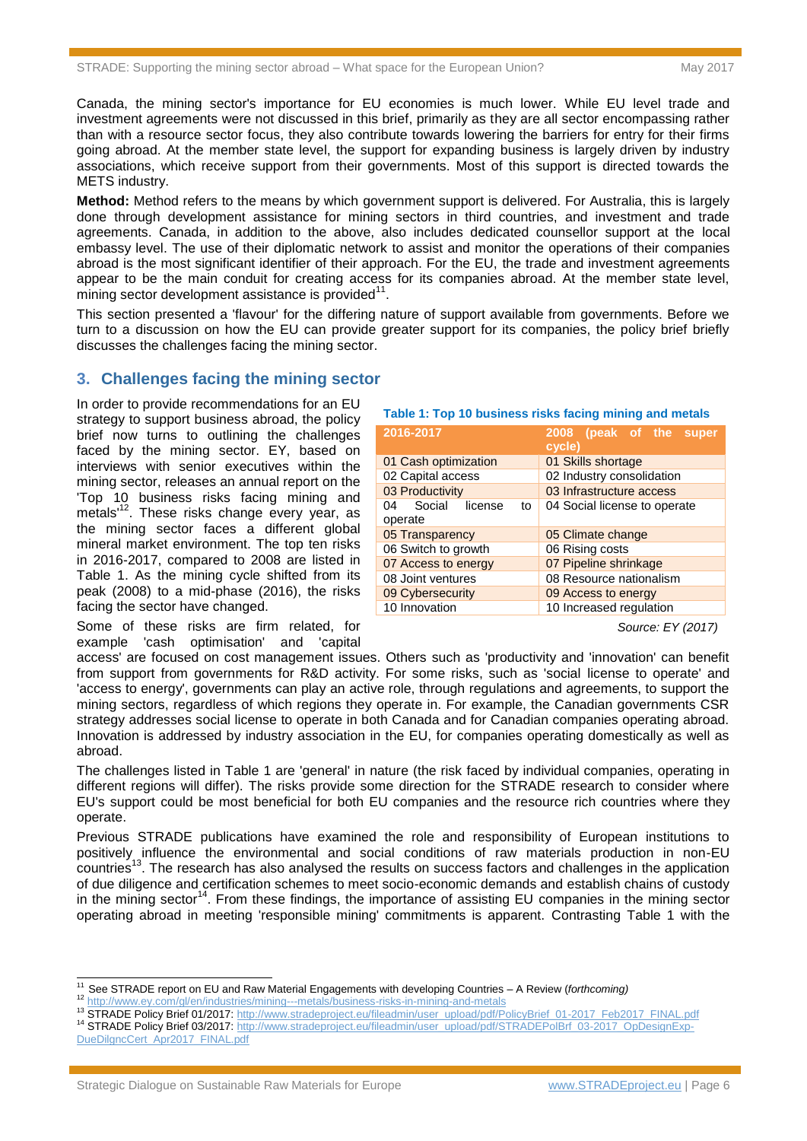Canada, the mining sector's importance for EU economies is much lower. While EU level trade and investment agreements were not discussed in this brief, primarily as they are all sector encompassing rather than with a resource sector focus, they also contribute towards lowering the barriers for entry for their firms going abroad. At the member state level, the support for expanding business is largely driven by industry associations, which receive support from their governments. Most of this support is directed towards the METS industry.

**Method:** Method refers to the means by which government support is delivered. For Australia, this is largely done through development assistance for mining sectors in third countries, and investment and trade agreements. Canada, in addition to the above, also includes dedicated counsellor support at the local embassy level. The use of their diplomatic network to assist and monitor the operations of their companies abroad is the most significant identifier of their approach. For the EU, the trade and investment agreements appear to be the main conduit for creating access for its companies abroad. At the member state level,  $m$ ining sector development assistance is provided $11$ .

This section presented a 'flavour' for the differing nature of support available from governments. Before we turn to a discussion on how the EU can provide greater support for its companies, the policy brief briefly discusses the challenges facing the mining sector.

#### **3. Challenges facing the mining sector**

In order to provide recommendations for an EU strategy to support business abroad, the policy brief now turns to outlining the challenges faced by the mining sector. EY, based on interviews with senior executives within the mining sector, releases an annual report on the 'Top 10 business risks facing mining and metals<sup>12</sup>. These risks change every year, as the mining sector faces a different global mineral market environment. The top ten risks in 2016-2017, compared to 2008 are listed in Table 1. As the mining cycle shifted from its peak (2008) to a mid-phase (2016), the risks facing the sector have changed.

Some of these risks are firm related, for example 'cash optimisation' and 'capital

#### **Table 1: Top 10 business risks facing mining and metals**

| 2016-2017                                | 2008 (peak of the super<br>cycle) |  |  |
|------------------------------------------|-----------------------------------|--|--|
| 01 Cash optimization                     | 01 Skills shortage                |  |  |
| 02 Capital access                        | 02 Industry consolidation         |  |  |
| 03 Productivity                          | 03 Infrastructure access          |  |  |
| Social<br>license<br>04<br>to<br>operate | 04 Social license to operate      |  |  |
| 05 Transparency                          | 05 Climate change                 |  |  |
| 06 Switch to growth                      | 06 Rising costs                   |  |  |
| 07 Access to energy                      | 07 Pipeline shrinkage             |  |  |
| 08 Joint ventures                        | 08 Resource nationalism           |  |  |
| 09 Cybersecurity                         | 09 Access to energy               |  |  |
| 10 Innovation                            | 10 Increased regulation           |  |  |

*Source: EY (2017)*

access' are focused on cost management issues. Others such as 'productivity and 'innovation' can benefit from support from governments for R&D activity. For some risks, such as 'social license to operate' and 'access to energy', governments can play an active role, through regulations and agreements, to support the mining sectors, regardless of which regions they operate in. For example, the Canadian governments CSR strategy addresses social license to operate in both Canada and for Canadian companies operating abroad. Innovation is addressed by industry association in the EU, for companies operating domestically as well as abroad.

The challenges listed in Table 1 are 'general' in nature (the risk faced by individual companies, operating in different regions will differ). The risks provide some direction for the STRADE research to consider where EU's support could be most beneficial for both EU companies and the resource rich countries where they operate.

Previous STRADE publications have examined the role and responsibility of European institutions to positively influence the environmental and social conditions of raw materials production in non-EU countries<sup>13</sup>. The research has also analysed the results on success factors and challenges in the application of due diligence and certification schemes to meet socio-economic demands and establish chains of custody in the mining sector<sup>14</sup>. From these findings, the importance of assisting EU companies in the mining sector operating abroad in meeting 'responsible mining' commitments is apparent. Contrasting Table 1 with the

- <sup>12</sup> <http://www.ey.com/gl/en/industries/mining---metals/business-risks-in-mining-and-metals>
- 13 STRADE Policy Brief 01/2017[: http://www.stradeproject.eu/fileadmin/user\\_upload/pdf/PolicyBrief\\_01-2017\\_Feb2017\\_FINAL.pdf](http://www.stradeproject.eu/fileadmin/user_upload/pdf/PolicyBrief_01-2017_Feb2017_FINAL.pdf) <sup>14</sup> STRADE Policy Brief 03/2017[: http://www.stradeproject.eu/fileadmin/user\\_upload/pdf/STRADEPolBrf\\_03-2017\\_OpDesignExp-](http://www.stradeproject.eu/fileadmin/user_upload/pdf/STRADEPolBrf_03-2017_OpDesignExp-DueDilgncCert_Apr2017_FINAL.pdf)
- [DueDilgncCert\\_Apr2017\\_FINAL.pdf](http://www.stradeproject.eu/fileadmin/user_upload/pdf/STRADEPolBrf_03-2017_OpDesignExp-DueDilgncCert_Apr2017_FINAL.pdf)

 $\overline{a}$ 

<sup>11</sup> See STRADE report on EU and Raw Material Engagements with developing Countries – A Review (*forthcoming)*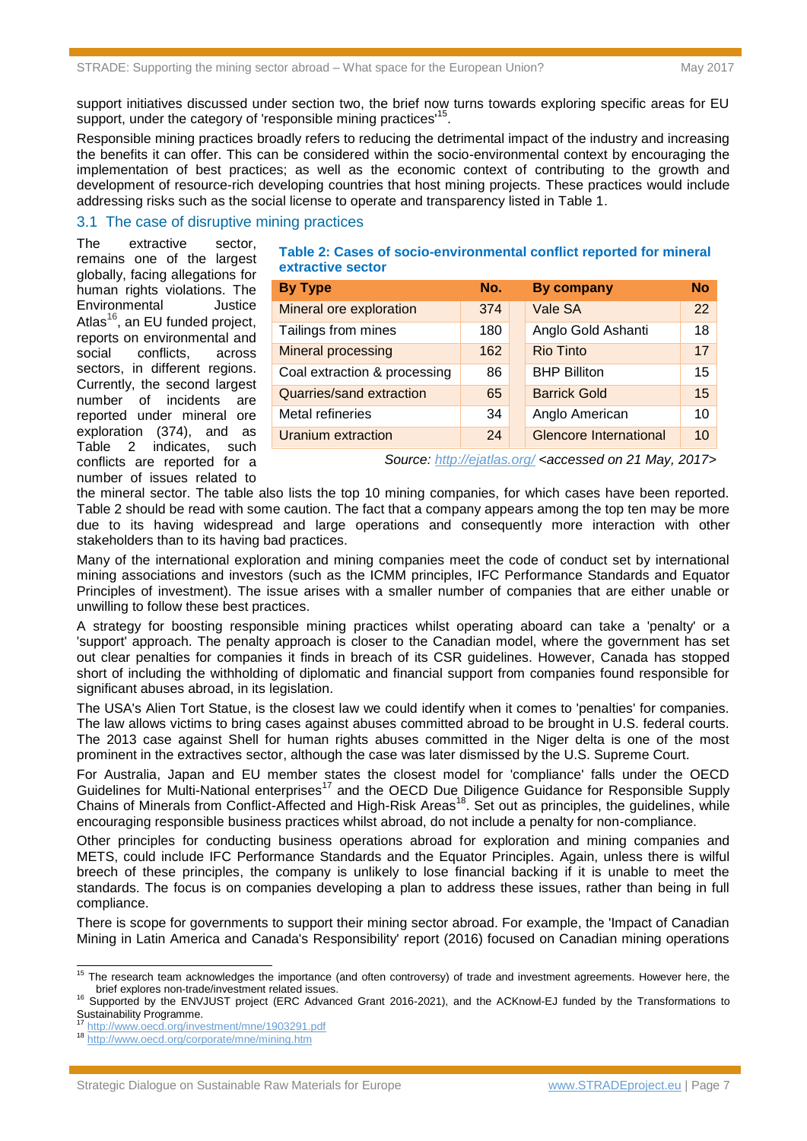support initiatives discussed under section two, the brief now turns towards exploring specific areas for EU support, under the category of 'responsible mining practices'<sup>15</sup>.

Responsible mining practices broadly refers to reducing the detrimental impact of the industry and increasing the benefits it can offer. This can be considered within the socio-environmental context by encouraging the implementation of best practices; as well as the economic context of contributing to the growth and development of resource-rich developing countries that host mining projects. These practices would include addressing risks such as the social license to operate and transparency listed in Table 1.

#### 3.1 The case of disruptive mining practices

The extractive sector, remains one of the largest globally, facing allegations for human rights violations. The Environmental Justice Atlas $^{16}$ , an EU funded project, reports on environmental and social conflicts, across sectors, in different regions. Currently, the second largest number of incidents are reported under mineral ore exploration (374), and as Table 2 indicates, such conflicts are reported for a number of issues related to

#### **Table 2: Cases of socio-environmental conflict reported for mineral extractive sector**

| <b>By Type</b>               | No. | <b>By company</b>             | <b>No</b> |
|------------------------------|-----|-------------------------------|-----------|
| Mineral ore exploration      | 374 | Vale SA                       | 22        |
| Tailings from mines          | 180 | Anglo Gold Ashanti            | 18        |
| Mineral processing           | 162 | <b>Rio Tinto</b>              | 17        |
| Coal extraction & processing | 86  | <b>BHP Billiton</b>           | 15        |
| Quarries/sand extraction     | 65  | <b>Barrick Gold</b>           | 15        |
| Metal refineries             | 34  | Anglo American                | 10        |
| <b>Uranium extraction</b>    | 24  | <b>Glencore International</b> | 10        |

*Source:<http://ejatlas.org/> <accessed on 21 May, 2017>*

the mineral sector. The table also lists the top 10 mining companies, for which cases have been reported. Table 2 should be read with some caution. The fact that a company appears among the top ten may be more due to its having widespread and large operations and consequently more interaction with other stakeholders than to its having bad practices.

Many of the international exploration and mining companies meet the code of conduct set by international mining associations and investors (such as the ICMM principles, IFC Performance Standards and Equator Principles of investment). The issue arises with a smaller number of companies that are either unable or unwilling to follow these best practices.

A strategy for boosting responsible mining practices whilst operating aboard can take a 'penalty' or a 'support' approach. The penalty approach is closer to the Canadian model, where the government has set out clear penalties for companies it finds in breach of its CSR guidelines. However, Canada has stopped short of including the withholding of diplomatic and financial support from companies found responsible for significant abuses abroad, in its legislation.

The USA's Alien Tort Statue, is the closest law we could identify when it comes to 'penalties' for companies. The law allows victims to bring cases against abuses committed abroad to be brought in U.S. federal courts. The 2013 case against Shell for human rights abuses committed in the Niger delta is one of the most prominent in the extractives sector, although the case was later dismissed by the U.S. Supreme Court.

For Australia, Japan and EU member states the closest model for 'compliance' falls under the OECD Guidelines for Multi-National enterprises<sup>17</sup> and the OECD Due Diligence Guidance for Responsible Supply Chains of Minerals from Conflict-Affected and High-Risk Areas<sup>18</sup>. Set out as principles, the guidelines, while encouraging responsible business practices whilst abroad, do not include a penalty for non-compliance.

Other principles for conducting business operations abroad for exploration and mining companies and METS, could include IFC Performance Standards and the Equator Principles. Again, unless there is wilful breech of these principles, the company is unlikely to lose financial backing if it is unable to meet the standards. The focus is on companies developing a plan to address these issues, rather than being in full compliance.

There is scope for governments to support their mining sector abroad. For example, the 'Impact of Canadian Mining in Latin America and Canada's Responsibility' report (2016) focused on Canadian mining operations

-

<sup>&</sup>lt;sup>15</sup> The research team acknowledges the importance (and often controversy) of trade and investment agreements. However here, the brief explores non-trade/investment related issues.

<sup>16</sup> Supported by the ENVJUST project (ERC Advanced Grant 2016-2021), and the ACKnowl-EJ funded by the Transformations to Sustainability Programme.

<sup>17</sup> <http://www.oecd.org/investment/mne/1903291.pdf>

<sup>18</sup> <http://www.oecd.org/corporate/mne/mining.htm>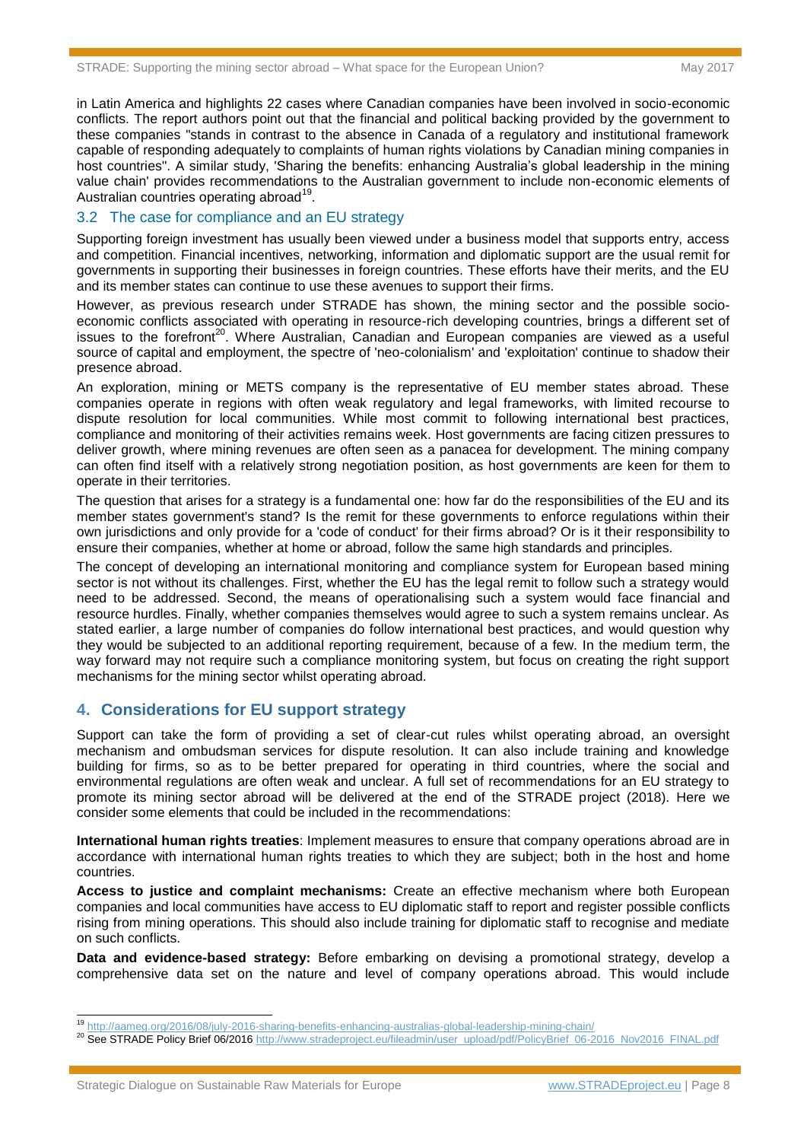in Latin America and highlights 22 cases where Canadian companies have been involved in socio-economic conflicts. The report authors point out that the financial and political backing provided by the government to these companies "stands in contrast to the absence in Canada of a regulatory and institutional framework capable of responding adequately to complaints of human rights violations by Canadian mining companies in host countries". A similar study, 'Sharing the benefits: enhancing Australia's global leadership in the mining value chain' provides recommendations to the Australian government to include non-economic elements of Australian countries operating abroad<sup>19</sup>.

#### 3.2 The case for compliance and an EU strategy

Supporting foreign investment has usually been viewed under a business model that supports entry, access and competition. Financial incentives, networking, information and diplomatic support are the usual remit for governments in supporting their businesses in foreign countries. These efforts have their merits, and the EU and its member states can continue to use these avenues to support their firms.

However, as previous research under STRADE has shown, the mining sector and the possible socioeconomic conflicts associated with operating in resource-rich developing countries, brings a different set of issues to the forefront<sup>20</sup>. Where Australian, Canadian and European companies are viewed as a useful source of capital and employment, the spectre of 'neo-colonialism' and 'exploitation' continue to shadow their presence abroad.

An exploration, mining or METS company is the representative of EU member states abroad. These companies operate in regions with often weak regulatory and legal frameworks, with limited recourse to dispute resolution for local communities. While most commit to following international best practices, compliance and monitoring of their activities remains week. Host governments are facing citizen pressures to deliver growth, where mining revenues are often seen as a panacea for development. The mining company can often find itself with a relatively strong negotiation position, as host governments are keen for them to operate in their territories.

The question that arises for a strategy is a fundamental one: how far do the responsibilities of the EU and its member states government's stand? Is the remit for these governments to enforce regulations within their own jurisdictions and only provide for a 'code of conduct' for their firms abroad? Or is it their responsibility to ensure their companies, whether at home or abroad, follow the same high standards and principles.

The concept of developing an international monitoring and compliance system for European based mining sector is not without its challenges. First, whether the EU has the legal remit to follow such a strategy would need to be addressed. Second, the means of operationalising such a system would face financial and resource hurdles. Finally, whether companies themselves would agree to such a system remains unclear. As stated earlier, a large number of companies do follow international best practices, and would question why they would be subjected to an additional reporting requirement, because of a few. In the medium term, the way forward may not require such a compliance monitoring system, but focus on creating the right support mechanisms for the mining sector whilst operating abroad.

#### **4. Considerations for EU support strategy**

Support can take the form of providing a set of clear-cut rules whilst operating abroad, an oversight mechanism and ombudsman services for dispute resolution. It can also include training and knowledge building for firms, so as to be better prepared for operating in third countries, where the social and environmental regulations are often weak and unclear. A full set of recommendations for an EU strategy to promote its mining sector abroad will be delivered at the end of the STRADE project (2018). Here we consider some elements that could be included in the recommendations:

**International human rights treaties**: Implement measures to ensure that company operations abroad are in accordance with international human rights treaties to which they are subject; both in the host and home countries.

**Access to justice and complaint mechanisms:** Create an effective mechanism where both European companies and local communities have access to EU diplomatic staff to report and register possible conflicts rising from mining operations. This should also include training for diplomatic staff to recognise and mediate on such conflicts.

**Data and evidence-based strategy:** Before embarking on devising a promotional strategy, develop a comprehensive data set on the nature and level of company operations abroad. This would include

<sup>-</sup><sup>19</sup> <http://aameg.org/2016/08/july-2016-sharing-benefits-enhancing-australias-global-leadership-mining-chain/>

<sup>&</sup>lt;sup>20</sup> See STRADE Policy Brief 06/2016 [http://www.stradeproject.eu/fileadmin/user\\_upload/pdf/PolicyBrief\\_06-2016\\_Nov2016\\_FINAL.pdf](http://www.stradeproject.eu/fileadmin/user_upload/pdf/PolicyBrief_06-2016_Nov2016_FINAL.pdf)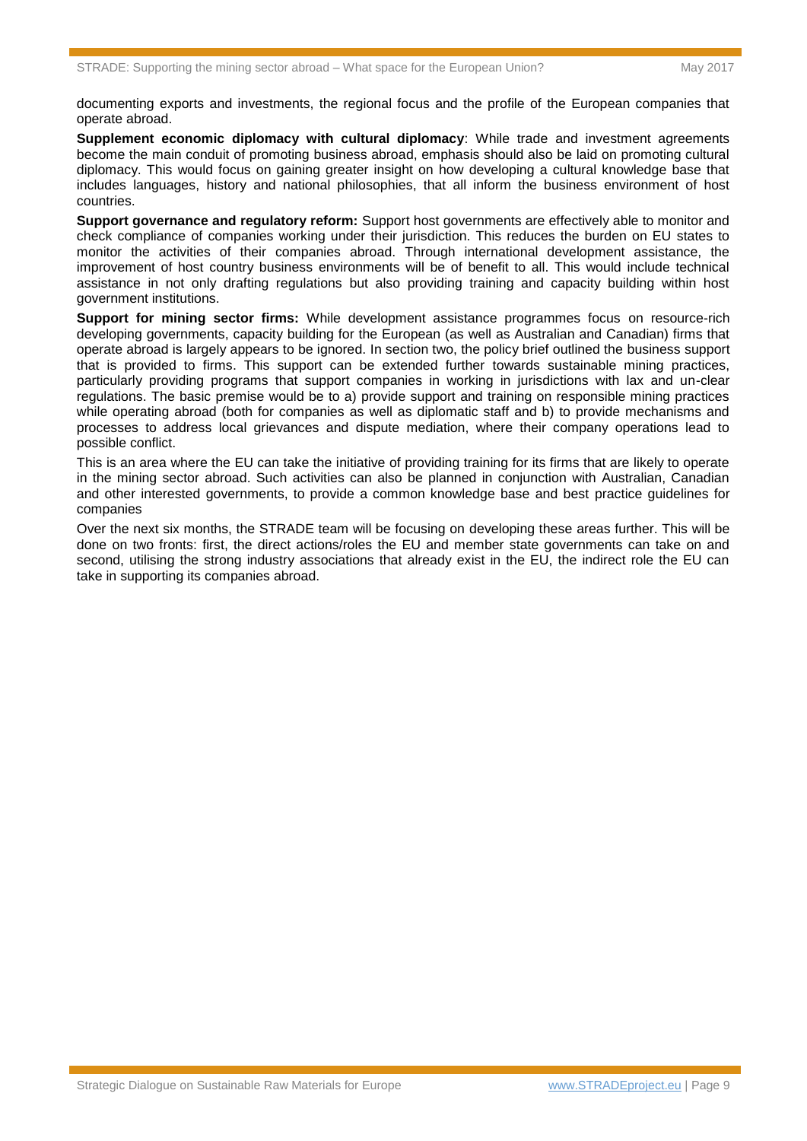documenting exports and investments, the regional focus and the profile of the European companies that operate abroad.

**Supplement economic diplomacy with cultural diplomacy**: While trade and investment agreements become the main conduit of promoting business abroad, emphasis should also be laid on promoting cultural diplomacy. This would focus on gaining greater insight on how developing a cultural knowledge base that includes languages, history and national philosophies, that all inform the business environment of host countries.

**Support governance and regulatory reform:** Support host governments are effectively able to monitor and check compliance of companies working under their jurisdiction. This reduces the burden on EU states to monitor the activities of their companies abroad. Through international development assistance, the improvement of host country business environments will be of benefit to all. This would include technical assistance in not only drafting regulations but also providing training and capacity building within host government institutions.

**Support for mining sector firms:** While development assistance programmes focus on resource-rich developing governments, capacity building for the European (as well as Australian and Canadian) firms that operate abroad is largely appears to be ignored. In section two, the policy brief outlined the business support that is provided to firms. This support can be extended further towards sustainable mining practices, particularly providing programs that support companies in working in jurisdictions with lax and un-clear regulations. The basic premise would be to a) provide support and training on responsible mining practices while operating abroad (both for companies as well as diplomatic staff and b) to provide mechanisms and processes to address local grievances and dispute mediation, where their company operations lead to possible conflict.

This is an area where the EU can take the initiative of providing training for its firms that are likely to operate in the mining sector abroad. Such activities can also be planned in conjunction with Australian, Canadian and other interested governments, to provide a common knowledge base and best practice guidelines for companies

Over the next six months, the STRADE team will be focusing on developing these areas further. This will be done on two fronts: first, the direct actions/roles the EU and member state governments can take on and second, utilising the strong industry associations that already exist in the EU, the indirect role the EU can take in supporting its companies abroad.